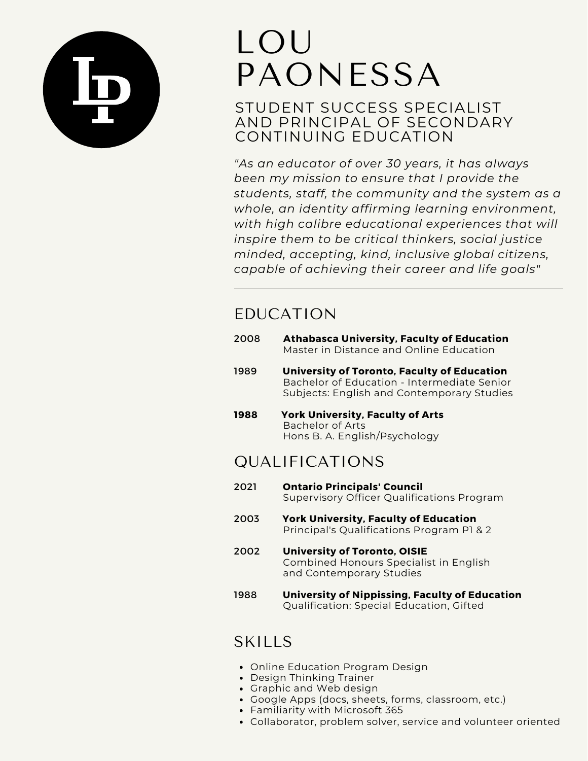

# LOU PAONESSA

STUDENT SUCCESS SPECIALIST AND PRINCIPAL OF SECONDARY CONTINUING EDUCATION

*"As an educator of over 30 years, it has always been my mission to ensure that I provide the students, staff, the community and the system as a whole, an identity affirming learning environment, with high calibre educational experiences that will inspire them to be critical thinkers, social justice minded, accepting, kind, inclusive global citizens, capable of achieving their career and life goals"*

# EDUCATION

- 2008 **Athabasca University, Faculty of Education** Master in Distance and Online Education
- 1989 **University of Toronto, Faculty of Education** Bachelor of Education - Intermediate Senior Subjects: English and Contemporary Studies
- **1988 York University, Faculty of Arts** Bachelor of Arts Hons B. A. English/Psychology

# QUALIFICATIONS

- 2021 **Ontario Principals' Council** Supervisory Officer Qualifications Program
- 2003 **York University, Faculty of Education** Principal's Qualifications Program P1 & 2
- 2002 **University of Toronto, OISIE** Combined Honours Specialist in English and Contemporary Studies
- 1988 **University of Nippissing, Faculty of Education** Qualification: Special Education, Gifted

# **SKILLS**

- Online Education Program Design
- Design Thinking Trainer
- Graphic and Web design
- Google Apps (docs, sheets, forms, classroom, etc.)
- Familiarity with Microsoft 365
- Collaborator, problem solver, service and volunteer oriented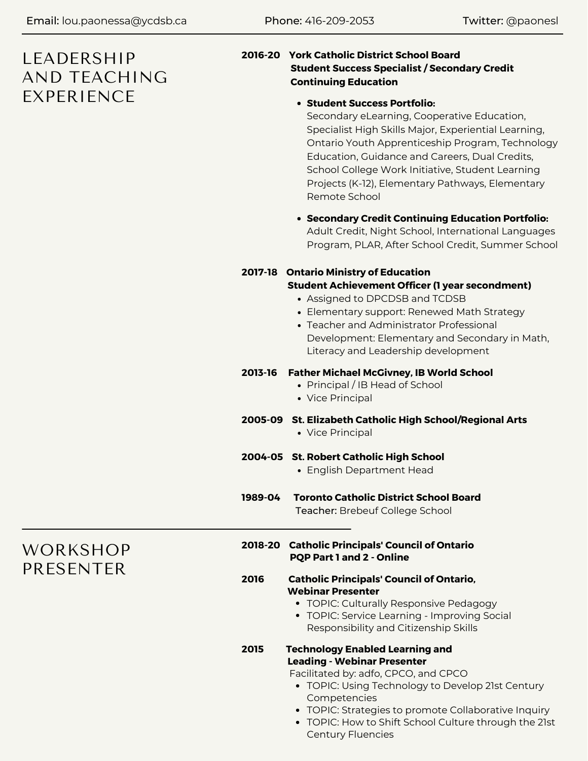# LEADERSHIP AND TEACHING EXPERIENCE **Student Success Portfolio:**

#### **2016-20 York Catholic District School Board Student Success Specialist / Secondary Credit Continuing Education**

Secondary eLearning, Cooperative Education, Specialist High Skills Major, Experiential Learning, Ontario Youth Apprenticeship Program, Technology Education, Guidance and Careers, Dual Credits, School College Work Initiative, Student Learning Projects (K-12), Elementary Pathways, Elementary Remote School

**Secondary Credit Continuing Education Portfolio:** Adult Credit, Night School, International Languages Program, PLAR, After School Credit, Summer School

#### **2017-18 Ontario Ministry of Education**

#### **Student Achievement Officer (1 year secondment)**

- Assigned to DPCDSB and TCDSB
- Elementary support: Renewed Math Strategy
- Teacher and Administrator Professional Development: Elementary and Secondary in Math, Literacy and Leadership development

#### **2013-16 Father Michael McGivney, IB World School**

- Principal / IB Head of School
- Vice Principal

#### **2005-09 St. Elizabeth Catholic High School/Regional Arts**

• Vice Principal

#### **2004-05 St. Robert Catholic High School**

- English Department Head
- **1989-04 Toronto Catholic District School Board** Teacher: Brebeuf College School

WORKSHOP PRESENTER

- **2018-20 Catholic Principals' Council of Ontario PQP Part 1 and 2 - Online**
- **2016 Catholic Principals' Council of Ontario, Webinar Presenter**
	- TOPIC: Culturally Responsive Pedagogy
	- TOPIC: Service Learning Improving Social Responsibility and Citizenship Skills
- **2015 Technology Enabled Learning and Leading - Webinar Presenter**

Facilitated by: adfo, CPCO, and CPCO

- TOPIC: Using Technology to Develop 21st Century Competencies
- TOPIC: Strategies to promote Collaborative Inquiry
- TOPIC: How to Shift School Culture through the 21st Century Fluencies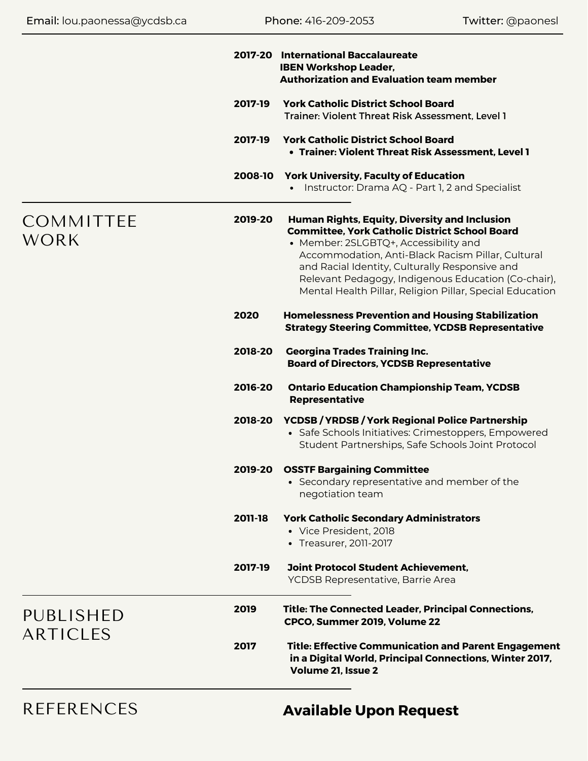| 2017-20                                                                                                   | <b>International Baccalaureate</b><br><b>IBEN Workshop Leader,</b><br><b>Authorization and Evaluation team member</b>                                                                                                                                                                                                                                                            |
|-----------------------------------------------------------------------------------------------------------|----------------------------------------------------------------------------------------------------------------------------------------------------------------------------------------------------------------------------------------------------------------------------------------------------------------------------------------------------------------------------------|
| 2017-19                                                                                                   | <b>York Catholic District School Board</b><br>Trainer: Violent Threat Risk Assessment, Level 1                                                                                                                                                                                                                                                                                   |
| 2017-19                                                                                                   | <b>York Catholic District School Board</b><br>• Trainer: Violent Threat Risk Assessment, Level 1                                                                                                                                                                                                                                                                                 |
| 2008-10                                                                                                   | <b>York University, Faculty of Education</b><br>• Instructor: Drama AQ - Part 1, 2 and Specialist                                                                                                                                                                                                                                                                                |
| <b>COMMITTEE</b><br>2019-20<br><b>WORK</b><br>2020<br>2018-20<br>2016-20<br>2018-20<br>2011-18<br>2017-19 | <b>Human Rights, Equity, Diversity and Inclusion</b><br><b>Committee, York Catholic District School Board</b><br>• Member: 2SLGBTQ+, Accessibility and<br>Accommodation, Anti-Black Racism Pillar, Cultural<br>and Racial Identity, Culturally Responsive and<br>Relevant Pedagogy, Indigenous Education (Co-chair),<br>Mental Health Pillar, Religion Pillar, Special Education |
|                                                                                                           | <b>Homelessness Prevention and Housing Stabilization</b><br><b>Strategy Steering Committee, YCDSB Representative</b>                                                                                                                                                                                                                                                             |
|                                                                                                           | <b>Georgina Trades Training Inc.</b><br><b>Board of Directors, YCDSB Representative</b>                                                                                                                                                                                                                                                                                          |
|                                                                                                           | <b>Ontario Education Championship Team, YCDSB</b><br><b>Representative</b>                                                                                                                                                                                                                                                                                                       |
|                                                                                                           | <b>YCDSB / YRDSB / York Regional Police Partnership</b><br>• Safe Schools Initiatives: Crimestoppers, Empowered<br>Student Partnerships, Safe Schools Joint Protocol                                                                                                                                                                                                             |
|                                                                                                           | 2019-20 OSSTF Bargaining Committee<br>• Secondary representative and member of the<br>negotiation team                                                                                                                                                                                                                                                                           |
|                                                                                                           | <b>York Catholic Secondary Administrators</b><br>• Vice President, 2018<br>• Treasurer, 2011-2017                                                                                                                                                                                                                                                                                |
|                                                                                                           | <b>Joint Protocol Student Achievement,</b><br>YCDSB Representative, Barrie Area                                                                                                                                                                                                                                                                                                  |
| 2019<br>PUBLISHED<br><b>ARTICLES</b><br>2017                                                              | Title: The Connected Leader, Principal Connections,<br>CPCO, Summer 2019, Volume 22                                                                                                                                                                                                                                                                                              |
|                                                                                                           | <b>Title: Effective Communication and Parent Engagement</b><br>in a Digital World, Principal Connections, Winter 2017,<br>Volume 21, Issue 2                                                                                                                                                                                                                                     |

REFERENCES

# **Available Upon Request**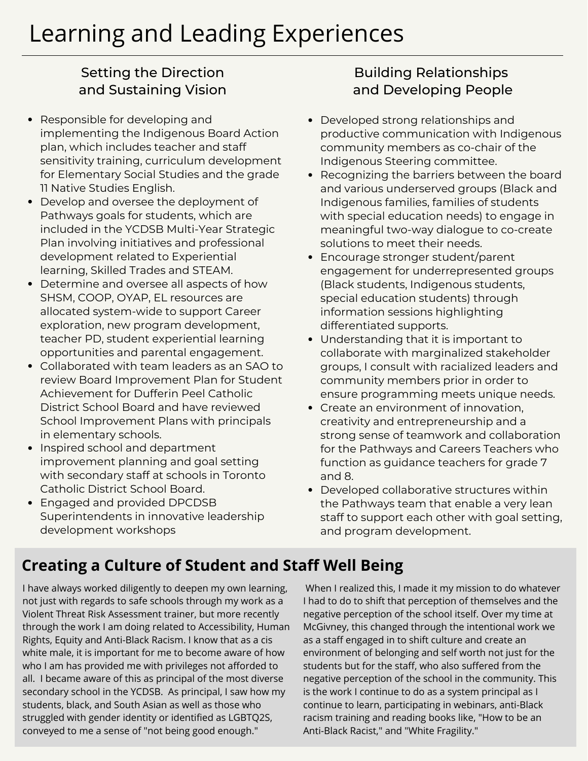### Setting the Direction and Sustaining Vision

- Responsible for developing and  $\bullet$ implementing the Indigenous Board Action plan, which includes teacher and staff sensitivity training, curriculum development for Elementary Social Studies and the grade 11 Native Studies English.
- Develop and oversee the deployment of Pathways goals for students, which are included in the YCDSB Multi-Year Strategic Plan involving initiatives and professional development related to Experiential learning, Skilled Trades and STEAM.
- Determine and oversee all aspects of how SHSM, COOP, OYAP, EL resources are allocated system-wide to support Career exploration, new program development, teacher PD, student experiential learning opportunities and parental engagement.
- Collaborated with team leaders as an SAO to review Board Improvement Plan for Student Achievement for Dufferin Peel Catholic District School Board and have reviewed School Improvement Plans with principals in elementary schools.
- Inspired school and department improvement planning and goal setting with secondary staff at schools in Toronto Catholic District School Board.
- Engaged and provided DPCDSB Superintendents in innovative leadership development workshops

### Building Relationships and Developing People

- Developed strong relationships and productive communication with Indigenous community members as co-chair of the Indigenous Steering committee.
- Recognizing the barriers between the board and various underserved groups (Black and Indigenous families, families of students with special education needs) to engage in meaningful two-way dialogue to co-create solutions to meet their needs.
- Encourage stronger student/parent engagement for underrepresented groups (Black students, Indigenous students, special education students) through information sessions highlighting differentiated supports.
- Understanding that it is important to collaborate with marginalized stakeholder groups, I consult with racialized leaders and community members prior in order to ensure programming meets unique needs.
- Create an environment of innovation, creativity and entrepreneurship and a strong sense of teamwork and collaboration for the Pathways and Careers Teachers who function as guidance teachers for grade 7 and 8.
- Developed collaborative structures within the Pathways team that enable a very lean staff to support each other with goal setting, and program development.

# **Creating a Culture of Student and Staff Well Being**

I have always worked diligently to deepen my own learning, not just with regards to safe schools through my work as a Violent Threat Risk Assessment trainer, but more recently through the work I am doing related to Accessibility, Human Rights, Equity and Anti-Black Racism. I know that as a cis white male, it is important for me to become aware of how who I am has provided me with privileges not afforded to all. I became aware of this as principal of the most diverse secondary school in the YCDSB. As principal, I saw how my students, black, and South Asian as well as those who struggled with gender identity or identified as LGBTQ2S, conveyed to me a sense of "not being good enough."

When I realized this, I made it my mission to do whatever I had to do to shift that perception of themselves and the negative perception of the school itself. Over my time at McGivney, this changed through the intentional work we as a staff engaged in to shift culture and create an environment of belonging and self worth not just for the students but for the staff, who also suffered from the negative perception of the school in the community. This is the work I continue to do as a system principal as I continue to learn, participating in webinars, anti-Black racism training and reading books like, "How to be an Anti-Black Racist," and "White Fragility."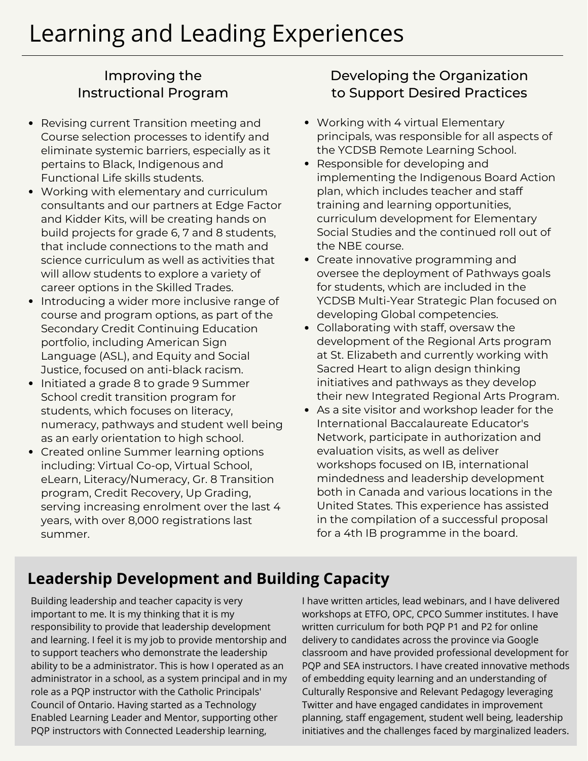### Improving the Instructional Program

- Revising current Transition meeting and  $\bullet$ Course selection processes to identify and eliminate systemic barriers, especially as it pertains to Black, Indigenous and Functional Life skills students.
- Working with elementary and curriculum consultants and our partners at Edge Factor and Kidder Kits, will be creating hands on build projects for grade 6, 7 and 8 students, that include connections to the math and science curriculum as well as activities that will allow students to explore a variety of career options in the Skilled Trades.
- Introducing a wider more inclusive range of course and program options, as part of the Secondary Credit Continuing Education portfolio, including American Sign Language (ASL), and Equity and Social Justice, focused on anti-black racism.
- Initiated a grade 8 to grade 9 Summer School credit transition program for students, which focuses on literacy, numeracy, pathways and student well being as an early orientation to high school.
- Created online Summer learning options including: Virtual Co-op, Virtual School, eLearn, Literacy/Numeracy, Gr. 8 Transition program, Credit Recovery, Up Grading, serving increasing enrolment over the last 4 years, with over 8,000 registrations last summer.

### Developing the Organization to Support Desired Practices

- Working with 4 virtual Elementary principals, was responsible for all aspects of the YCDSB Remote Learning School.
- Responsible for developing and implementing the Indigenous Board Action plan, which includes teacher and staff training and learning opportunities, curriculum development for Elementary Social Studies and the continued roll out of the NBE course.
- Create innovative programming and oversee the deployment of Pathways goals for students, which are included in the YCDSB Multi-Year Strategic Plan focused on developing Global competencies.
- Collaborating with staff, oversaw the development of the Regional Arts program at St. Elizabeth and currently working with Sacred Heart to align design thinking initiatives and pathways as they develop their new Integrated Regional Arts Program.
- As a site visitor and workshop leader for the International Baccalaureate Educator's Network, participate in authorization and evaluation visits, as well as deliver workshops focused on IB, international mindedness and leadership development both in Canada and various locations in the United States. This experience has assisted in the compilation of a successful proposal for a 4th IB programme in the board.

# **Leadership Development and Building Capacity**

Building leadership and teacher capacity is very important to me. It is my thinking that it is my responsibility to provide that leadership development and learning. I feel it is my job to provide mentorship and to support teachers who demonstrate the leadership ability to be a administrator. This is how I operated as an administrator in a school, as a system principal and in my role as a PQP instructor with the Catholic Principals' Council of Ontario. Having started as a Technology Enabled Learning Leader and Mentor, supporting other PQP instructors with Connected Leadership learning,

I have written articles, lead webinars, and I have delivered workshops at ETFO, OPC, CPCO Summer institutes. I have written curriculum for both PQP P1 and P2 for online delivery to candidates across the province via Google classroom and have provided professional development for PQP and SEA instructors. I have created innovative methods of embedding equity learning and an understanding of Culturally Responsive and Relevant Pedagogy leveraging Twitter and have engaged candidates in improvement planning, staff engagement, student well being, leadership initiatives and the challenges faced by marginalized leaders.